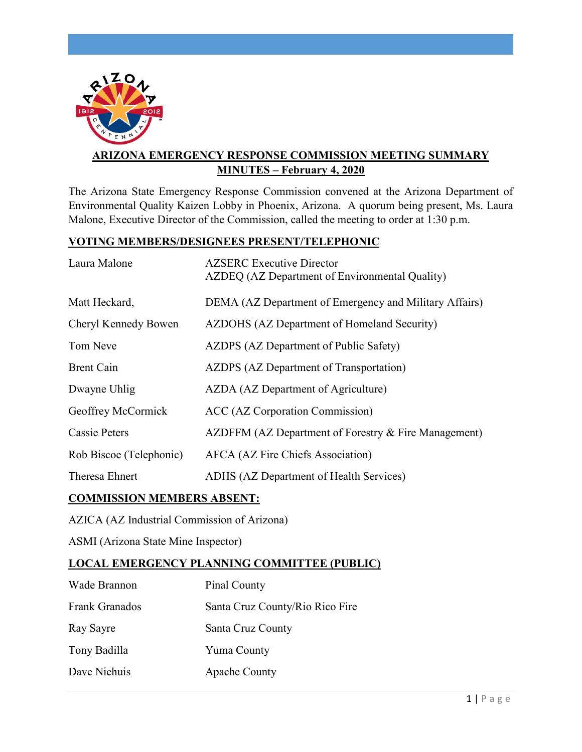

# **ARIZONA EMERGENCY RESPONSE COMMISSION MEETING SUMMARY MINUTES – February 4, 2020**

The Arizona State Emergency Response Commission convened at the Arizona Department of Environmental Quality Kaizen Lobby in Phoenix, Arizona. A quorum being present, Ms. Laura Malone, Executive Director of the Commission, called the meeting to order at 1:30 p.m.

## **VOTING MEMBERS/DESIGNEES PRESENT/TELEPHONIC**

| Laura Malone            | <b>AZSERC</b> Executive Director<br>AZDEQ (AZ Department of Environmental Quality) |
|-------------------------|------------------------------------------------------------------------------------|
| Matt Heckard,           | DEMA (AZ Department of Emergency and Military Affairs)                             |
| Cheryl Kennedy Bowen    | AZDOHS (AZ Department of Homeland Security)                                        |
| Tom Neve                | AZDPS (AZ Department of Public Safety)                                             |
| <b>Brent Cain</b>       | AZDPS (AZ Department of Transportation)                                            |
| Dwayne Uhlig            | AZDA (AZ Department of Agriculture)                                                |
| Geoffrey McCormick      | ACC (AZ Corporation Commission)                                                    |
| Cassie Peters           | AZDFFM (AZ Department of Forestry & Fire Management)                               |
| Rob Biscoe (Telephonic) | <b>AFCA</b> (AZ Fire Chiefs Association)                                           |
| Theresa Ehnert          | ADHS (AZ Department of Health Services)                                            |

# **COMMISSION MEMBERS ABSENT:**

AZICA (AZ Industrial Commission of Arizona)

ASMI (Arizona State Mine Inspector)

## **LOCAL EMERGENCY PLANNING COMMITTEE (PUBLIC)**

| Wade Brannon   | Pinal County                    |
|----------------|---------------------------------|
| Frank Granados | Santa Cruz County/Rio Rico Fire |
| Ray Sayre      | Santa Cruz County               |
| Tony Badilla   | Yuma County                     |
| Dave Niehuis   | <b>Apache County</b>            |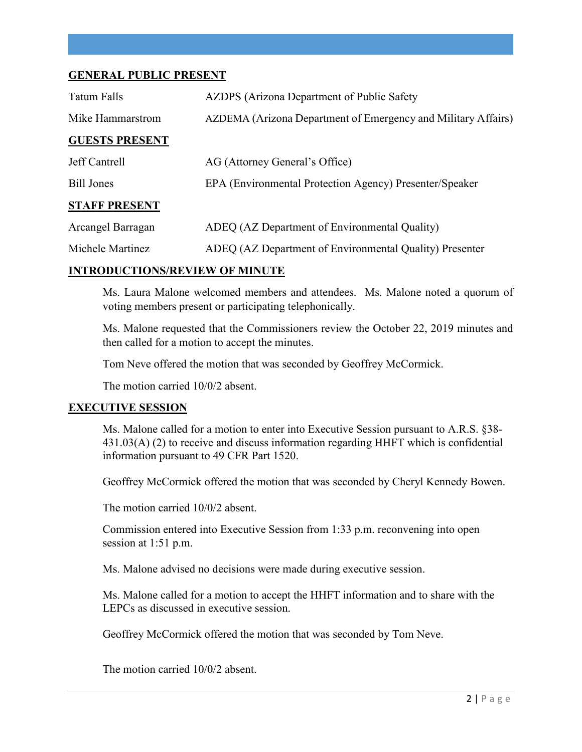#### **GENERAL PUBLIC PRESENT**

| Tatum Falls           | AZDPS (Arizona Department of Public Safety                    |
|-----------------------|---------------------------------------------------------------|
| Mike Hammarstrom      | AZDEMA (Arizona Department of Emergency and Military Affairs) |
| <b>GUESTS PRESENT</b> |                                                               |
| Jeff Cantrell         | AG (Attorney General's Office)                                |
| <b>Bill Jones</b>     | EPA (Environmental Protection Agency) Presenter/Speaker       |
| <b>STAFF PRESENT</b>  |                                                               |
| Arcangel Barragan     | ADEQ (AZ Department of Environmental Quality)                 |
| Michele Martinez      | ADEQ (AZ Department of Environmental Quality) Presenter       |

#### **INTRODUCTIONS/REVIEW OF MINUTE**

Ms. Laura Malone welcomed members and attendees. Ms. Malone noted a quorum of voting members present or participating telephonically.

Ms. Malone requested that the Commissioners review the October 22, 2019 minutes and then called for a motion to accept the minutes.

Tom Neve offered the motion that was seconded by Geoffrey McCormick.

The motion carried 10/0/2 absent.

#### **EXECUTIVE SESSION**

Ms. Malone called for a motion to enter into Executive Session pursuant to A.R.S. §38- 431.03(A) (2) to receive and discuss information regarding HHFT which is confidential information pursuant to 49 CFR Part 1520.

Geoffrey McCormick offered the motion that was seconded by Cheryl Kennedy Bowen.

The motion carried 10/0/2 absent.

Commission entered into Executive Session from 1:33 p.m. reconvening into open session at 1:51 p.m.

Ms. Malone advised no decisions were made during executive session.

Ms. Malone called for a motion to accept the HHFT information and to share with the LEPCs as discussed in executive session.

Geoffrey McCormick offered the motion that was seconded by Tom Neve.

The motion carried 10/0/2 absent.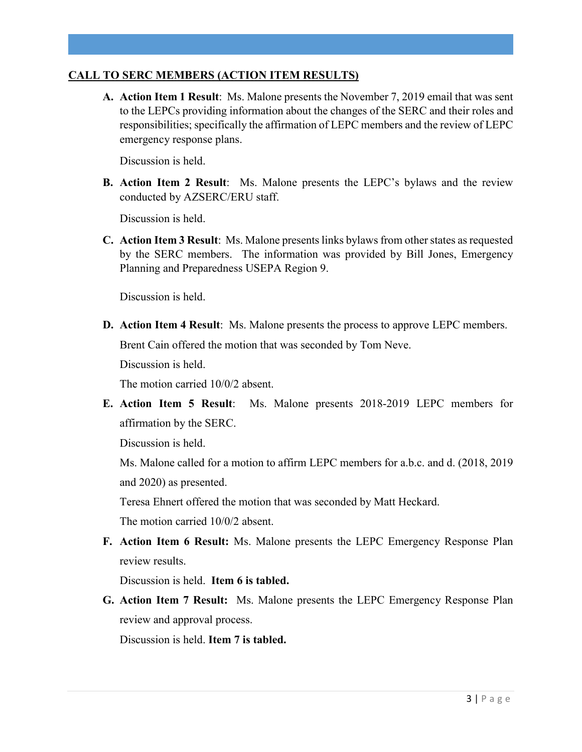### **CALL TO SERC MEMBERS (ACTION ITEM RESULTS)**

**A. Action Item 1 Result**: Ms. Malone presents the November 7, 2019 email that was sent to the LEPCs providing information about the changes of the SERC and their roles and responsibilities; specifically the affirmation of LEPC members and the review of LEPC emergency response plans.

Discussion is held.

**B. Action Item 2 Result**: Ms. Malone presents the LEPC's bylaws and the review conducted by AZSERC/ERU staff.

Discussion is held.

**C. Action Item 3 Result**: Ms. Malone presentslinks bylaws from other states as requested by the SERC members. The information was provided by Bill Jones, Emergency Planning and Preparedness USEPA Region 9.

Discussion is held.

**D. Action Item 4 Result**: Ms. Malone presents the process to approve LEPC members. Brent Cain offered the motion that was seconded by Tom Neve.

Discussion is held.

The motion carried 10/0/2 absent.

**E. Action Item 5 Result**: Ms. Malone presents 2018-2019 LEPC members for affirmation by the SERC.

Discussion is held.

Ms. Malone called for a motion to affirm LEPC members for a.b.c. and d. (2018, 2019 and 2020) as presented.

Teresa Ehnert offered the motion that was seconded by Matt Heckard.

The motion carried 10/0/2 absent.

**F. Action Item 6 Result:** Ms. Malone presents the LEPC Emergency Response Plan review results.

Discussion is held. **Item 6 is tabled.**

**G. Action Item 7 Result:** Ms. Malone presents the LEPC Emergency Response Plan review and approval process.

Discussion is held. **Item 7 is tabled.**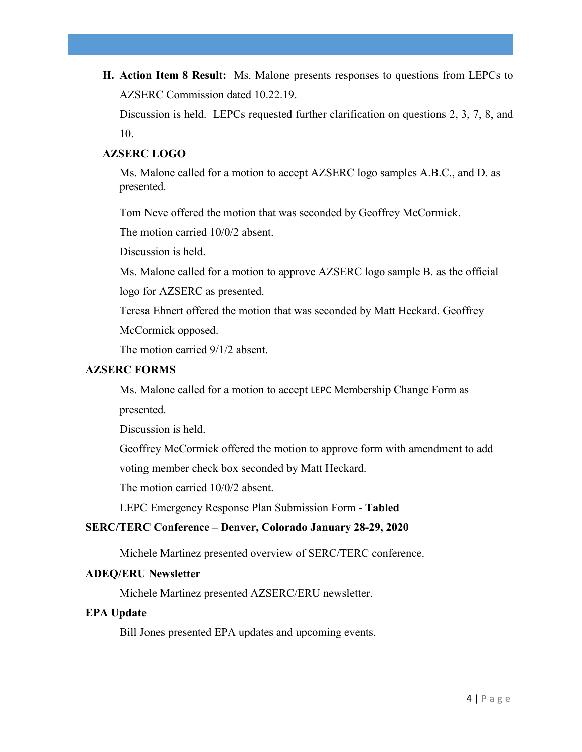**H. Action Item 8 Result:** Ms. Malone presents responses to questions from LEPCs to AZSERC Commission dated 10.22.19.

Discussion is held. LEPCs requested further clarification on questions 2, 3, 7, 8, and 10.

## **AZSERC LOGO**

Ms. Malone called for a motion to accept AZSERC logo samples A.B.C., and D. as presented.

Tom Neve offered the motion that was seconded by Geoffrey McCormick.

The motion carried 10/0/2 absent.

Discussion is held.

Ms. Malone called for a motion to approve AZSERC logo sample B. as the official logo for AZSERC as presented.

Teresa Ehnert offered the motion that was seconded by Matt Heckard. Geoffrey

McCormick opposed.

The motion carried 9/1/2 absent.

#### **AZSERC FORMS**

Ms. Malone called for a motion to accept LEPC Membership Change Form as presented.

Discussion is held.

Geoffrey McCormick offered the motion to approve form with amendment to add

voting member check box seconded by Matt Heckard.

The motion carried 10/0/2 absent.

LEPC Emergency Response Plan Submission Form - **Tabled**

## **SERC/TERC Conference – Denver, Colorado January 28-29, 2020**

Michele Martinez presented overview of SERC/TERC conference.

#### **ADEQ/ERU Newsletter**

Michele Martinez presented AZSERC/ERU newsletter.

#### **EPA Update**

Bill Jones presented EPA updates and upcoming events.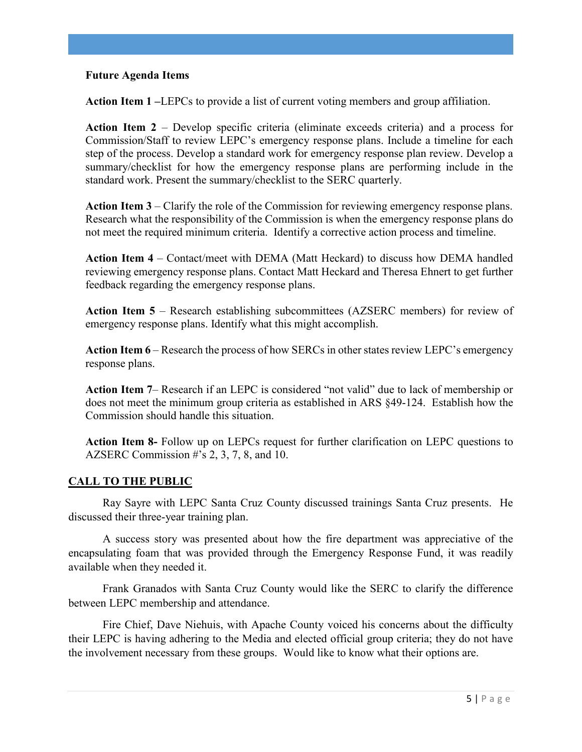#### **Future Agenda Items**

**Action Item 1 –**LEPCs to provide a list of current voting members and group affiliation.

**Action Item 2** – Develop specific criteria (eliminate exceeds criteria) and a process for Commission/Staff to review LEPC's emergency response plans. Include a timeline for each step of the process. Develop a standard work for emergency response plan review. Develop a summary/checklist for how the emergency response plans are performing include in the standard work. Present the summary/checklist to the SERC quarterly.

**Action Item 3** – Clarify the role of the Commission for reviewing emergency response plans. Research what the responsibility of the Commission is when the emergency response plans do not meet the required minimum criteria. Identify a corrective action process and timeline.

**Action Item 4** – Contact/meet with DEMA (Matt Heckard) to discuss how DEMA handled reviewing emergency response plans. Contact Matt Heckard and Theresa Ehnert to get further feedback regarding the emergency response plans.

**Action Item 5** – Research establishing subcommittees (AZSERC members) for review of emergency response plans. Identify what this might accomplish.

**Action Item 6** – Research the process of how SERCs in other states review LEPC's emergency response plans.

**Action Item 7**– Research if an LEPC is considered "not valid" due to lack of membership or does not meet the minimum group criteria as established in ARS §49-124. Establish how the Commission should handle this situation.

**Action Item 8-** Follow up on LEPCs request for further clarification on LEPC questions to AZSERC Commission #'s 2, 3, 7, 8, and 10.

## **CALL TO THE PUBLIC**

Ray Sayre with LEPC Santa Cruz County discussed trainings Santa Cruz presents. He discussed their three-year training plan.

A success story was presented about how the fire department was appreciative of the encapsulating foam that was provided through the Emergency Response Fund, it was readily available when they needed it.

Frank Granados with Santa Cruz County would like the SERC to clarify the difference between LEPC membership and attendance.

Fire Chief, Dave Niehuis, with Apache County voiced his concerns about the difficulty their LEPC is having adhering to the Media and elected official group criteria; they do not have the involvement necessary from these groups. Would like to know what their options are.